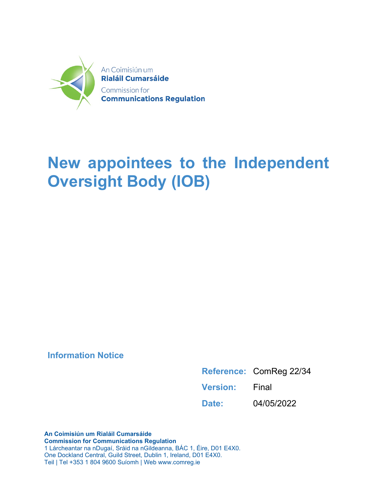

# **New appointees to the Independent Oversight Body (IOB)**

### **Information Notice**

|                       | Reference: ComReg 22/34 |
|-----------------------|-------------------------|
| <b>Version:</b> Final |                         |
| Date:                 | 04/05/2022              |

**An Coimisiún um Rialáil Cumarsáide Commission for Communications Regulation** 1 Lárcheantar na nDugaí, Sráid na nGildeanna, BÁC 1, Éire, D01 E4X0. One Dockland Central, Guild Street, Dublin 1, Ireland, D01 E4X0. Teil | Tel +353 1 804 9600 Suíomh | Web www.comreg.ie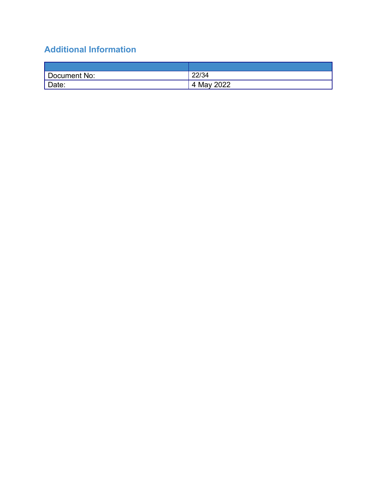## **Additional Information**

| Document No: | 22/34      |
|--------------|------------|
| Date:        | 4 May 2022 |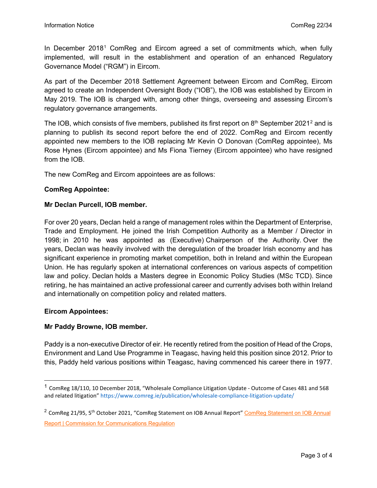In December 20[1](#page-2-0)8<sup>1</sup> ComReg and Eircom agreed a set of commitments which, when fully implemented, will result in the establishment and operation of an enhanced Regulatory Governance Model ("RGM") in Eircom.

As part of the December 2018 Settlement Agreement between Eircom and ComReg, Eircom agreed to create an Independent Oversight Body ("IOB"), the IOB was established by Eircom in May 2019. The IOB is charged with, among other things, overseeing and assessing Eircom's regulatory governance arrangements.

The IOB, which consists of five members, published its first report on  $8<sup>th</sup>$  September [2](#page-2-1)021<sup>2</sup> and is planning to publish its second report before the end of 2022. ComReg and Eircom recently appointed new members to the IOB replacing Mr Kevin O Donovan (ComReg appointee), Ms Rose Hynes (Eircom appointee) and Ms Fiona Tierney (Eircom appointee) who have resigned from the IOB.

The new ComReg and Eircom appointees are as follows:

#### **ComReg Appointee:**

#### **Mr Declan Purcell, IOB member.**

For over 20 years, Declan held a range of management roles within the Department of Enterprise, Trade and Employment. He joined the Irish Competition Authority as a Member / Director in 1998; in 2010 he was appointed as (Executive) Chairperson of the Authority. Over the years, Declan was heavily involved with the deregulation of the broader Irish economy and has significant experience in promoting market competition, both in Ireland and within the European Union. He has regularly spoken at international conferences on various aspects of competition law and policy. Declan holds a Masters degree in Economic Policy Studies (MSc TCD). Since retiring, he has maintained an active professional career and currently advises both within Ireland and internationally on competition policy and related matters.

#### **Eircom Appointees:**

#### **Mr Paddy Browne, IOB member.**

Paddy is a non-executive Director of eir. He recently retired from the position of Head of the Crops, Environment and Land Use Programme in Teagasc, having held this position since 2012. Prior to this, Paddy held various positions within Teagasc, having commenced his career there in 1977.

<span id="page-2-0"></span><sup>&</sup>lt;sup>1</sup> ComReg 18/110, 10 December 2018, "Wholesale Compliance Litigation Update - Outcome of Cases 481 and 568 and related litigation" https://www.comreg.ie/publication/wholesale-compliance-litigation-update/

<span id="page-2-1"></span> $2$  ComReg 21/95, 5<sup>th</sup> October 2021, "[ComReg Statement on IOB Annual](https://www.comreg.ie/publication/comreg-statement-on-iob-annual-report) Report" ComReg Statement on IOB Annual **[Report | Commission for Communications Regulation](https://www.comreg.ie/publication/comreg-statement-on-iob-annual-report)**